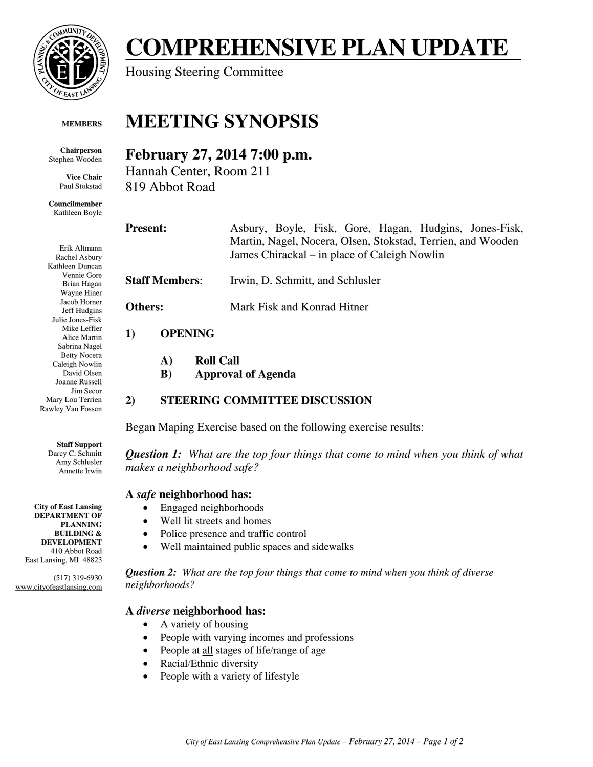

#### **MEMBERS**

**Chairperson**  Stephen Wooden

> **Vice Chair**  Paul Stokstad

**Councilmember**  Kathleen Boyle

Erik Altmann Rachel Asbury Kathleen Duncan Vennie Gore Brian Hagan Wayne Hiner Jacob Horner Jeff Hudgins Julie Jones-Fisk Mike Leffler Alice Martin Sabrina Nagel Betty Nocera Caleigh Nowlin David Olsen Joanne Russell Jim Secor Mary Lou Terrien Rawley Van Fossen

#### **Staff Support**

Darcy C. Schmitt Amy Schlusler Annette Irwin

**City of East Lansing DEPARTMENT OF PLANNING BUILDING & DEVELOPMENT**  410 Abbot Road East Lansing, MI 48823

(517) 319-6930 www.cityofeastlansing.com

# **COMPREHENSIVE PLAN UPDATE**

Housing Steering Committee

# **MEETING SYNOPSIS**

## **February 27, 2014 7:00 p.m.**

Hannah Center, Room 211 819 Abbot Road

**Present:** Asbury, Boyle, Fisk, Gore, Hagan, Hudgins, Jones-Fisk, Martin, Nagel, Nocera, Olsen, Stokstad, Terrien, and Wooden James Chirackal – in place of Caleigh Nowlin **Staff Members**: Irwin, D. Schmitt, and Schlusler **Others:** Mark Fisk and Konrad Hitner

#### **1) OPENING**

- **A) Roll Call**
- **B) Approval of Agenda**

## **2) STEERING COMMITTEE DISCUSSION**

Began Maping Exercise based on the following exercise results:

*Question 1: What are the top four things that come to mind when you think of what makes a neighborhood safe?* 

#### **A** *safe* **neighborhood has:**

- Engaged neighborhoods
- Well lit streets and homes
- Police presence and traffic control
- Well maintained public spaces and sidewalks

*Question 2: What are the top four things that come to mind when you think of diverse neighborhoods?*

## **A** *diverse* **neighborhood has:**

- A variety of housing
- People with varying incomes and professions
- People at all stages of life/range of age
- Racial/Ethnic diversity
- People with a variety of lifestyle